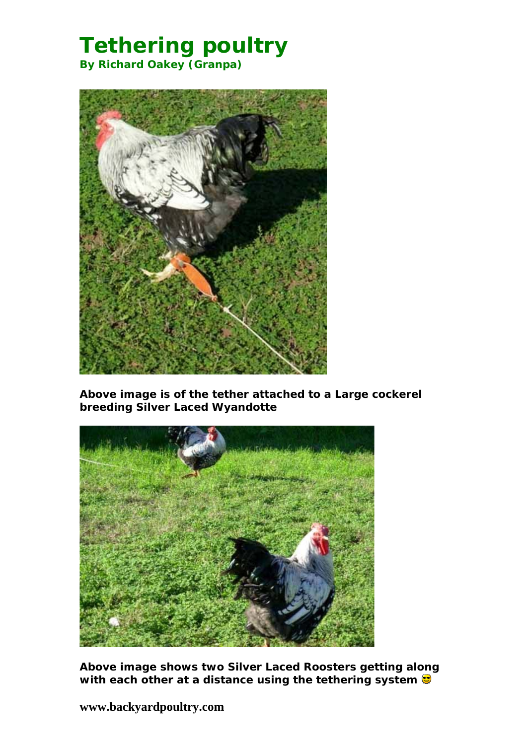# **Tethering poultry By Richard Oakey (Granpa)**



*Above image is of the tether attached to a Large cockerel breeding Silver Laced Wyandotte*



*Above image shows two Silver Laced Roosters getting along with each other at a distance using the tethering system* 

**www.backyardpoultry.com**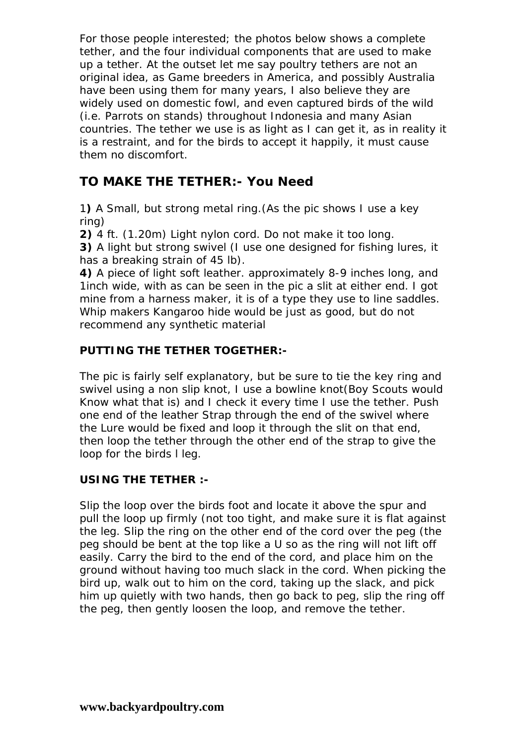For those people interested; the photos below shows a complete tether, and the four individual components that are used to make up a tether. At the outset let me say poultry tethers are not an original idea, as Game breeders in America, and possibly Australia have been using them for many years, I also believe they are widely used on domestic fowl, and even captured birds of the wild (i.e. Parrots on stands) throughout Indonesia and many Asian countries. The tether we use is as light as I can get it, as in reality it is a restraint, and for the birds to accept it happily, it must cause them no discomfort.

## **TO MAKE THE TETHER:- You Need**

1**)** A Small, but strong metal ring.(As the pic shows I use a key ring)

**2)** 4 ft. (1.20m) Light nylon cord. Do not make it too long.

**3)** A light but strong swivel (I use one designed for fishing lures, it has a breaking strain of 45 lb).

**4)** A piece of light soft leather. approximately 8-9 inches long, and 1inch wide, with as can be seen in the pic a slit at either end. I got mine from a harness maker, it is of a type they use to line saddles. Whip makers Kangaroo hide would be just as good, but do not recommend any synthetic material

### **PUTTING THE TETHER TOGETHER:-**

The pic is fairly self explanatory, but be sure to tie the key ring and swivel using a non slip knot, I use a bowline knot(Boy Scouts would Know what that is) and I check it every time I use the tether. Push one end of the leather Strap through the end of the swivel where the Lure would be fixed and loop it through the slit on that end, then loop the tether through the other end of the strap to give the loop for the birds l leg.

#### **USING THE TETHER :-**

Slip the loop over the birds foot and locate it above the spur and pull the loop up firmly (not too tight, and make sure it is flat against the leg. Slip the ring on the other end of the cord over the peg (the peg should be bent at the top like a U so as the ring will not lift off easily. Carry the bird to the end of the cord, and place him on the ground without having too much slack in the cord. When picking the bird up, walk out to him on the cord, taking up the slack, and pick him up quietly with two hands, then go back to peg, slip the ring off the peg, then gently loosen the loop, and remove the tether.